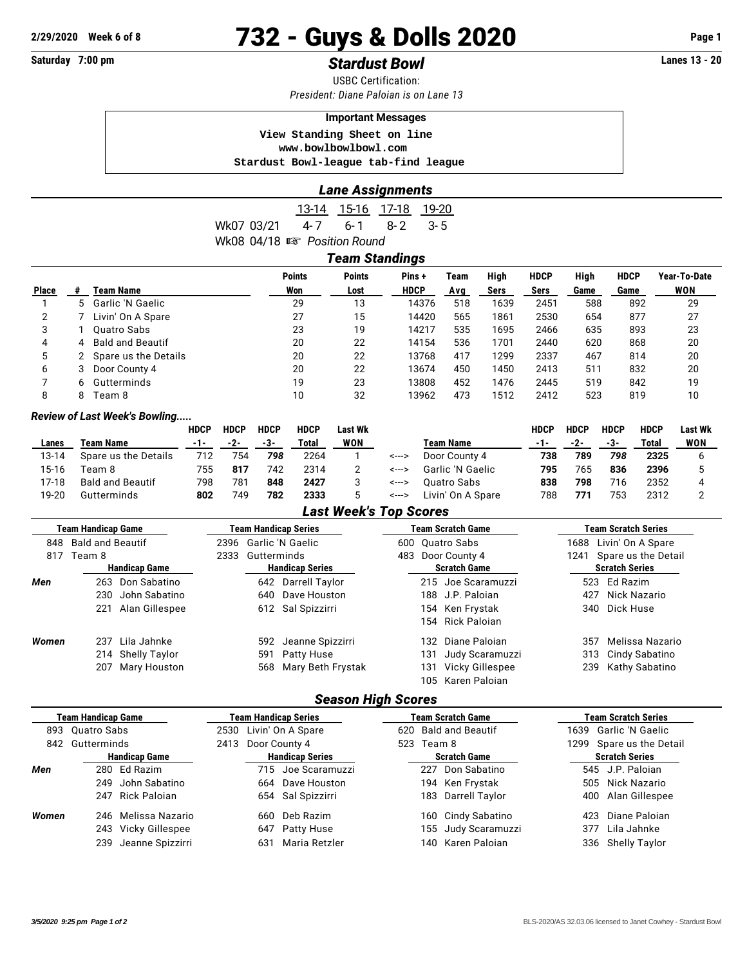# **2/29/2020 Week 6 of 8 732 - Guys & Dolls 2020 Page 1**

## **Saturday 7:00 pm** *Stardust Bowl* **Lanes 13 - 20**

USBC Certification: *President: Diane Paloian is on Lane 13*

#### **Important Messages**

 **View Standing Sheet on line <www.bowlbowlbowl.com> Stardust Bowl-league tab-find league**

#### *Lane Assignments*

13-14 15-16 17-18 19-20 Wk07 03/21 4-7 6-1 8-2 3-5 Wk08 04/18  $\mathbb{R}$  Position Round

| Team Standings |   |                         |                      |                       |                      |             |              |                     |              |                     |                     |
|----------------|---|-------------------------|----------------------|-----------------------|----------------------|-------------|--------------|---------------------|--------------|---------------------|---------------------|
| <b>Place</b>   |   | Team Name               | <b>Points</b><br>Won | <b>Points</b><br>Lost | Pins+<br><b>HDCP</b> | Team<br>Ava | High<br>Sers | <b>HDCP</b><br>Sers | High<br>Game | <b>HDCP</b><br>Game | Year-To-Date<br>WON |
|                |   | 5 Garlic 'N Gaelic      | 29                   | 13                    | 14376                | 518         | 1639         | 2451                | 588          | 892                 | 29                  |
| 2              |   | Livin' On A Spare       | 27                   | 15                    | 14420                | 565         | 1861         | 2530                | 654          | 877                 | 27                  |
| 3              |   | Ouatro Sabs             | 23                   | 19                    | 14217                | 535         | 1695         | 2466                | 635          | 893                 | 23                  |
| 4              | 4 | <b>Bald and Beautif</b> | 20                   | 22                    | 14154                | 536         | 1701         | 2440                | 620          | 868                 | 20                  |
| 5              |   | 2 Spare us the Details  | 20                   | 22                    | 13768                | 417         | 1299         | 2337                | 467          | 814                 | 20                  |
| 6              | 3 | Door County 4           | 20                   | 22                    | 13674                | 450         | 1450         | 2413                | 511          | 832                 | 20                  |
|                | 6 | Gutterminds             | 19                   | 23                    | 13808                | 452         | 1476         | 2445                | 519          | 842                 | 19                  |
| 8              | 8 | Team 8                  | 10                   | 32                    | 13962                | 473         | 1512         | 2412                | 523          | 819                 | 10                  |

#### *Review of Last Week's Bowling.....*

|       |                      | <b>HDCP</b> | <b>HDCP</b> | <b>HDCP</b> | <b>HDCP</b> | Last Wk    |       |                   | <b>HDCP</b> | <b>HDCP</b> | HDCP | <b>HDCP</b> | <b>Last Wk</b> |
|-------|----------------------|-------------|-------------|-------------|-------------|------------|-------|-------------------|-------------|-------------|------|-------------|----------------|
| Lanes | Team Name            | -1-         | -2-         | -3-         | Total       | <b>WON</b> |       | Team Name         | -1-         | -2-         | -3-  | Total       | <b>WON</b>     |
| 13-14 | Spare us the Details | 712         | 754         | 798         | 2264        |            | <---> | Door County 4     | 738         | 789         | 798  | 2325        |                |
| 15-16 | Геат 8               | 755         | 817         | 742         | 2314        |            | <---> | Garlic 'N Gaelic  | 795         | 765         | 836  | 2396        |                |
| 17-18 | Bald and Beautif     | 798         | 781         | 848         | 2427        |            | <---> | Ouatro Sabs       | 838         | 798         | 716  | 2352        |                |
| 19-20 | Gutterminds          | 802         | 749         | 782         | 2333        |            | <---> | Livin' On A Spare | 788         | 771         | 753  | 2312        |                |

#### *Last Week's Top Scores*

|       | Team Handicap Game      | Team Handicap Series   |                       |                      |     | <b>Team Scratch Game</b> | Team Scratch Series         |                 |  |  |
|-------|-------------------------|------------------------|-----------------------|----------------------|-----|--------------------------|-----------------------------|-----------------|--|--|
| 848   | <b>Bald and Beautif</b> | 2396 Garlic 'N Gaelic  |                       | 600 Ouatro Sabs      |     |                          | Livin' On A Spare<br>1688   |                 |  |  |
| 817   | Team 8                  | 2333                   | Gutterminds           | Door County 4<br>483 |     |                          | Spare us the Detail<br>1241 |                 |  |  |
|       | <b>Handicap Game</b>    | <b>Handicap Series</b> |                       | <b>Scratch Game</b>  |     |                          | <b>Scratch Series</b>       |                 |  |  |
| Men   | 263 Don Sabatino        |                        | 642 Darrell Taylor    |                      |     | 215 Joe Scaramuzzi       |                             | 523 Ed Razim    |  |  |
|       | John Sabatino<br>230    | 640                    | Dave Houston          |                      |     | 188 J.P. Paloian         | 427                         | Nick Nazario    |  |  |
|       | Alan Gillespee<br>221   |                        | 612 Sal Spizzirri     |                      |     | 154 Ken Frystak          | 340                         | Dick Huse       |  |  |
|       |                         |                        |                       |                      |     | 154 Rick Paloian         |                             |                 |  |  |
| Women | Lila Jahnke<br>237      | 592                    | Jeanne Spizzirri      |                      | 132 | Diane Paloian            | 357                         | Melissa Nazario |  |  |
|       | 214 Shelly Taylor       | 591                    | Patty Huse            |                      | 131 | Judy Scaramuzzi          | 313                         | Cindy Sabatino  |  |  |
|       | 207 Mary Houston        |                        | 568 Mary Beth Frystak |                      | 131 | Vicky Gillespee          | 239                         | Kathy Sabatino  |  |  |
|       |                         |                        |                       |                      |     | 105 Karen Paloian        |                             |                 |  |  |

### *Season High Scores*

| <b>Team Handicap Game</b> |                      |                      | Team Handicap Series |                        |                        |                     |     | Team Scratch Game        | <b>Team Scratch Series</b> |                    |  |  |
|---------------------------|----------------------|----------------------|----------------------|------------------------|------------------------|---------------------|-----|--------------------------|----------------------------|--------------------|--|--|
|                           | 893 Quatro Sabs      |                      |                      | 2530 Livin' On A Spare | 620 Bald and Beautif   |                     |     | 1639 Garlic 'N Gaelic    |                            |                    |  |  |
| 842                       | Gutterminds          |                      | 2413 Door County 4   |                        | 523 Team 8             |                     |     | 1299 Spare us the Detail |                            |                    |  |  |
|                           | <b>Handicap Game</b> |                      |                      |                        | <b>Handicap Series</b> | <b>Scratch Game</b> |     |                          | <b>Scratch Series</b>      |                    |  |  |
| Men                       |                      | 280 Ed Razim         |                      |                        | 715 Joe Scaramuzzi     |                     | 227 | Don Sabatino             |                            | 545 J.P. Paloian   |  |  |
|                           | 249                  | John Sabatino        |                      |                        | 664 Dave Houston       |                     |     | 194 Ken Frystak          |                            | 505 Nick Nazario   |  |  |
|                           |                      | 247 Rick Paloian     |                      |                        | 654 Sal Spizzirri      |                     |     | 183 Darrell Taylor       |                            | 400 Alan Gillespee |  |  |
| Women                     |                      | 246 Melissa Nazario  |                      |                        | 660 Deb Razim          |                     |     | 160 Cindy Sabatino       | 423.                       | Diane Paloian      |  |  |
|                           |                      | 243 Vicky Gillespee  |                      |                        | 647 Patty Huse         |                     |     | 155 Judy Scaramuzzi      | 377                        | Lila Jahnke        |  |  |
|                           |                      | 239 Jeanne Spizzirri |                      | 631                    | Maria Retzler          |                     |     | 140 Karen Paloian        | 336                        | Shelly Taylor      |  |  |